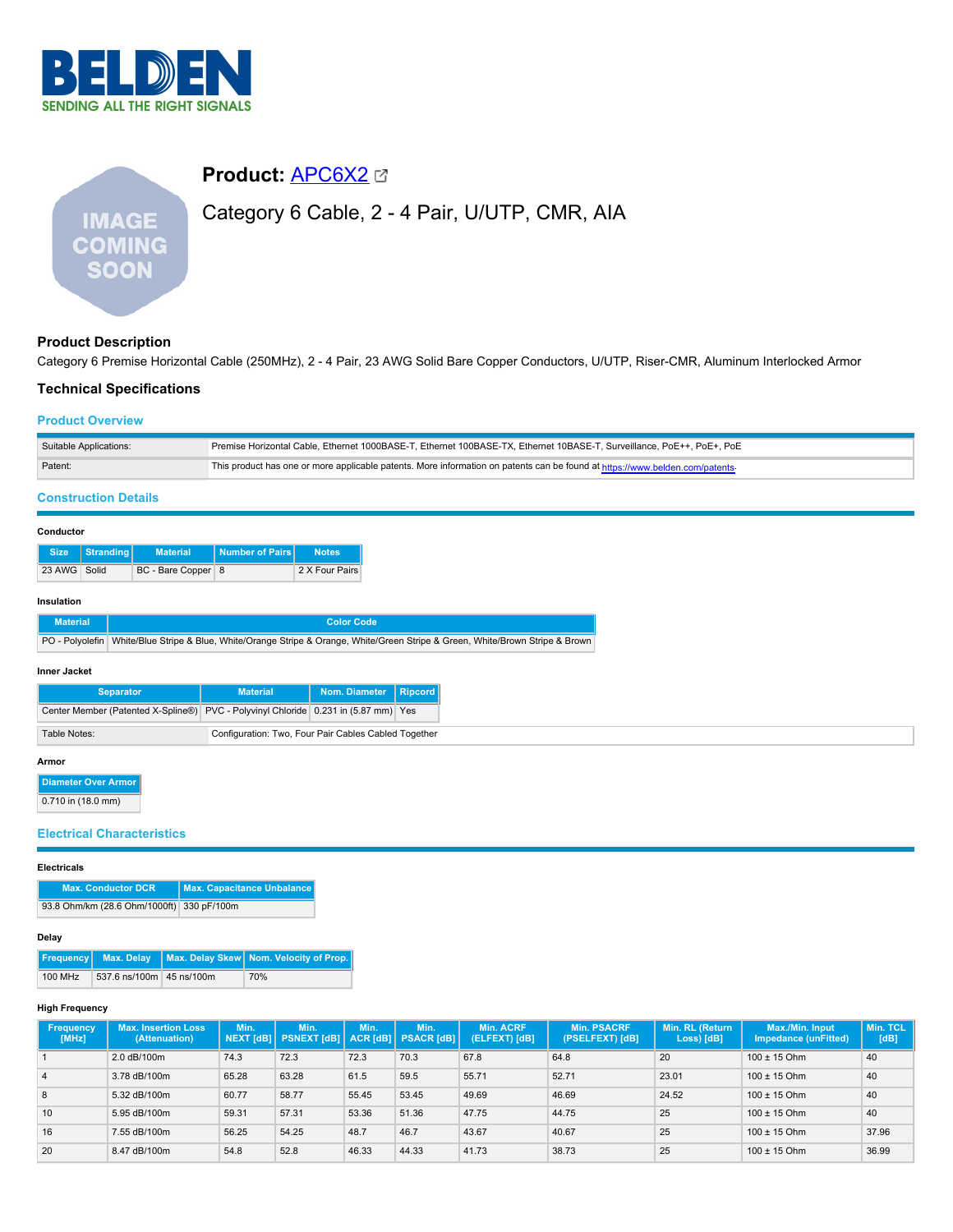

# **Product:** [APC6X2](https://catalog.belden.com/index.cfm?event=pd&p=PF_APC6X2&tab=downloads) Category 6 Cable, 2 - 4 Pair, U/UTP, CMR, AIA **IMAGE COMING SOON**

# **Product Description**

Category 6 Premise Horizontal Cable (250MHz), 2 - 4 Pair, 23 AWG Solid Bare Copper Conductors, U/UTP, Riser-CMR, Aluminum Interlocked Armor

## **Technical Specifications**

## **Product Overview**

| Suitable Applications: | Premise Horizontal Cable, Ethernet 1000BASE-T, Ethernet 100BASE-TX, Ethernet 10BASE-T, Surveillance, PoE++, PoE+, PoE        |
|------------------------|------------------------------------------------------------------------------------------------------------------------------|
| Patent:                | This product has one or more applicable patents. More information on patents can be found at https://www.belden.com/patents- |

# **Construction Details**

#### **Conductor**

|              | Size Stranding | <b>Material</b>    | <b>Number of Pairs</b> | <b>Notes</b>   |
|--------------|----------------|--------------------|------------------------|----------------|
| 23 AWG Solid |                | BC - Bare Copper 8 |                        | 2 X Four Pairs |

#### **Insulation**

| <b>Material</b> | Color Code                                                                                                                     |
|-----------------|--------------------------------------------------------------------------------------------------------------------------------|
|                 | PO - Polyolefin White/Blue Stripe & Blue, White/Orange Stripe & Orange, White/Green Stripe & Green, White/Brown Stripe & Brown |

#### **Inner Jacket**

| <b>Separator</b>                                                                   | <b>Material</b>                                      | Nom. Diameter   Ripcord |  |
|------------------------------------------------------------------------------------|------------------------------------------------------|-------------------------|--|
| Center Member (Patented X-Spline®) PVC - Polyvinyl Chloride 0.231 in (5.87 mm) Yes |                                                      |                         |  |
| Table Notes:                                                                       | Configuration: Two, Four Pair Cables Cabled Together |                         |  |

## **Armor**

**Diameter Over Armor**

```
\boxed{0.710 \text{ in } (18.0 \text{ mm})}
```
## **Electrical Characteristics**

#### **Electricals**

| <b>Max. Conductor DCR</b>                 | Max. Capacitance Unbalance |
|-------------------------------------------|----------------------------|
| 93.8 Ohm/km (28.6 Ohm/1000ft) 330 pF/100m |                            |

#### **Delay**

|         |                          | Frequency Max. Delay Max. Delay Skew Nom. Velocity of Prop. |
|---------|--------------------------|-------------------------------------------------------------|
| 100 MHz | 537.6 ns/100m 45 ns/100m | 70%                                                         |

## **High Frequency**

| <b>Frequency</b><br>[MHz] | <b>Max. Insertion Loss</b><br>(Attenuation) | Min.  | Min.<br>NEXT [dB]   PSNEXT [dB]   ACR [dB]   PSACR [dB] | Min.  | Min.  | <b>Min. ACRF</b><br>(ELFEXT) [dB] | <b>Min. PSACRF</b><br>(PSELFEXT) [dB] | Min. RL (Return<br>Loss) [dB] | Max./Min. Input<br><b>Impedance (unFitted)</b> | Min. TCL<br>[dB] |
|---------------------------|---------------------------------------------|-------|---------------------------------------------------------|-------|-------|-----------------------------------|---------------------------------------|-------------------------------|------------------------------------------------|------------------|
|                           | 2.0 dB/100m                                 | 74.3  | 72.3                                                    | 72.3  | 70.3  | 67.8                              | 64.8                                  | 20                            | $100 \pm 15$ Ohm                               | 40               |
| $\overline{4}$            | 3.78 dB/100m                                | 65.28 | 63.28                                                   | 61.5  | 59.5  | 55.71                             | 52.71                                 | 23.01                         | $100 \pm 15$ Ohm                               | 40               |
| 8                         | 5.32 dB/100m                                | 60.77 | 58.77                                                   | 55.45 | 53.45 | 49.69                             | 46.69                                 | 24.52                         | $100 \pm 15$ Ohm                               | 40               |
| 10                        | 5.95 dB/100m                                | 59.31 | 57.31                                                   | 53.36 | 51.36 | 47.75                             | 44.75                                 | 25                            | $100 \pm 15$ Ohm                               | 40               |
| 16                        | 7.55 dB/100m                                | 56.25 | 54.25                                                   | 48.7  | 46.7  | 43.67                             | 40.67                                 | 25                            | $100 \pm 15$ Ohm                               | 37.96            |
| 20                        | 8.47 dB/100m                                | 54.8  | 52.8                                                    | 46.33 | 44.33 | 41.73                             | 38.73                                 | 25                            | $100 \pm 15$ Ohm                               | 36.99            |